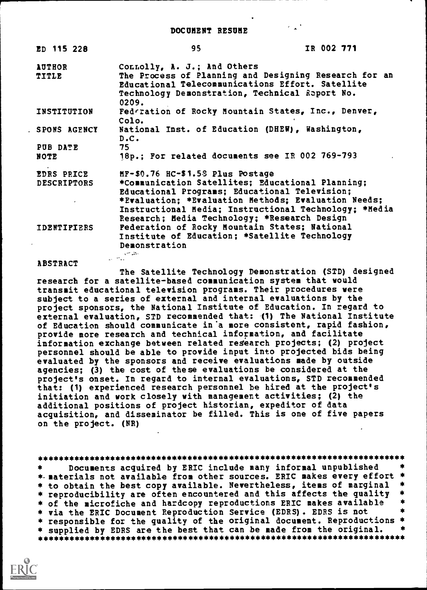| ED 115 228                       | IR 002 771<br>95                                                                                                                                                                                                  |  |
|----------------------------------|-------------------------------------------------------------------------------------------------------------------------------------------------------------------------------------------------------------------|--|
| <b>AUTHOR</b>                    | Connolly, A. J.; And Others                                                                                                                                                                                       |  |
| TITLE                            | The Process of Planning and Designing Research for an<br>Educational Telecommunications Effort. Satellite<br>Technology Demonstration, Technical Report No.<br>0209.                                              |  |
| INSTITUTION                      | Federation of Rocky Mountain States, Inc., Denver,<br>Colo.                                                                                                                                                       |  |
| . SPONS AGENCY                   | National Inst. of Education (DHEW), Washington,<br>D.C.                                                                                                                                                           |  |
| PUB DATE                         | 75                                                                                                                                                                                                                |  |
| NOTE                             | 18p.; For related documents see IR 002 769-793                                                                                                                                                                    |  |
| <b>EDRS PRICE</b>                | MF-\$0.76 HC-\$1.58 Plus Postage                                                                                                                                                                                  |  |
| <b>DESCRIPTORS</b>               | *Communication Satellites; Educational Planning;<br>Educational Programs; Educational Television;<br>*Evaluation; *Evaluation Methods; Evaluation Needs;<br>Instructional Media; Instructional Technology; *Media |  |
|                                  | Research; Media Technology; *Research Design                                                                                                                                                                      |  |
| <b>IDENTIFIERS</b><br>$\epsilon$ | Federation of Rocky Mountain States; National<br>Institute of Education; *Satellite Technology<br>Demonstration                                                                                                   |  |
|                                  | and the state of the state of the                                                                                                                                                                                 |  |

### ABSTRACT Service

The Satellite Technology Demonstration (STD) designed research for a satellite-based communication system that would transmit educational television programs. Their procedures were subject to a series of external and internal evaluations by the project sponsors, the National Institute of Education. In regard to external evaluation, STD recommended that: (1) The National Institute of Education should communicate in'a more consistent, rapid fashion, provide more research and technical information, and facilitate information exchange between related research projects; (2) project personnel should be able to provide input into projected bids being evaluated by the sponsors and receive evaluations made by outside agencies; (3) the cost of these evaluations be considered at the project's onset. In regard to internal evaluations, STD recommended that: (1) experienced research personnel be hired at the project's initiation and work closely with management activities; (2) the additional positions of project historian, expeditor of data acquisition, and disseminator be filled. This is one of five papers on the project. (NR)

\*\*\*\*\*\*\*\*\*\*\*\*\*\*\*\*\*\*\*\*\*\*\*\*\*\*\*\*\*\*\*\*\*\*\*\*\*\*\*\*\*\*\*\*\*\*\*\*\*\*\*\*\*\*\*\*\*\*\*\*\*\*\*\*\*\*\*\*\*\*\* Documents acquired by ERIC include many informal unpublished \* materials not available from other sources. ERIC makes every effort \* \* to obtain the best copy available. Nevertheless, items of marginal \* reproducibility are often encountered and this affects the quality \* of the microfiche and hardcopy reproductions ERIC makes available \*\* \* via the ERIC Document Reproduction Service (EDRS). EDRS is not \* responsible for the quality of the original document. Reproductions \*<br>\* supplied by EDRS are the best that can be made from the original. \* \* supplied by EDRS are the best that can be made from the original. \*\*\*\*\*\*\*\*\*\*\*\*\*\*\*\*\*\*\*\*\*\*\*\*\*\*\*\*\*\*\*\*\*\*\*\*\*\*\*\*\*\*\*\*\*\*\*\*\*\*\*\*\*\*\*\*\*\*\*\*\*\*\*\*\*\*\*\*\*\*\*

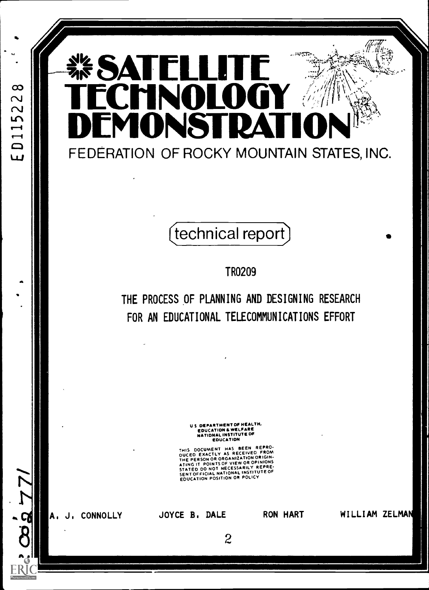# $\mathbb{Z}$   $\mathbb{Z}$   $\mathbb{Z}$   $\mathbb{Z}$   $\mathbb{Z}$   $\mathbb{Z}$   $\mathbb{Z}$   $\mathbb{Z}$   $\mathbb{Z}$   $\mathbb{Z}$   $\mathbb{Z}$   $\mathbb{Z}$   $\mathbb{Z}$   $\mathbb{Z}$   $\mathbb{Z}$   $\mathbb{Z}$   $\mathbb{Z}$   $\mathbb{Z}$   $\mathbb{Z}$   $\mathbb{Z}$   $\mathbb{Z}$   $\mathbb{Z}$   $\mathbb{Z}$   $\mathbb{Z}$   $\mathbb{$ **\*SATELLITE A SATELLITE** TECHNOLOGY (# 11 IONSTRA FEDERATION OF ROCKY MOUNTAIN STATES, INC.

## technical report)

TR0209

THE PROCESS OF PLANNING AND DESIGNING RESEARCH FOR AN EDUCATIONAL TELECOMMUNICATIONS EFFORT

U S DEPARTMENT OF HEALTH,<br>EDUCATION & WELFARE<br>NATIONAL INSTITUTE OF<br>EDUCATION

THIS DOCUMENT HAS BEEN REPRO-<br>DUCED EXACTLY AS RECEIVED FROM<br>THE PERSON OR ORGANIZATION ORIGIN-<br>ATING IT POINTS OF VIEW OR OPINIONS<br>STATED DO NOT NECESSARILY REPRE-<br>SENTOFFICIAL NATIONAL INSTITUTE OF<br>FOUCATION POSITION OR

A, J, CONNOLLY JOYCE B, DALE RON HART

2

WILLIAM ZELMAN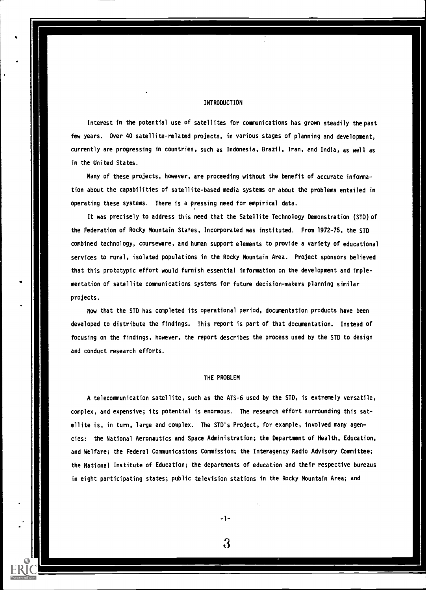#### **INTRODUCTION**

Interest in the potential use of satellites for communications has grown steadily the past few years. Over 40 satellite-related projects, in various stages of planning and development, currently are progressing in countries, such as Indonesia, Brazil, Iran, and India, as well as in the United States.

Many of these projects, however, are proceeding without the benefit of accurate information about the capabilities of satellite-based media systems or about the problems entailed in operating these systems. There is a pressing need for empirical data.

It was precisely to address this need that the Satellite Technology Demonstration (STD) of the Federation of Rocky Mountain States, Incorporated was instituted. From 1972-75, the STD combined technology, courseware, and human support elements to provide a variety of educational services to rural, isolated populations in the Rocky Mountain Area. Project sponsors believed that this prototypic effort would furnish essential information on the development and implementation of satellite communications systems for future decision-makers planning similar projects.

Now that the STD has completed its operational period, documentation products have been developed to distribute the findings. This report is part of that documentation. Instead of focusing on the findings, however, the report describes the process used by the STD to design and conduct research efforts.

#### THE PROBLEM

A telecommunication satellite, such as the ATS-6 used by the STD, is extremely versatile, complex, and expensive; its potential is enormous. The research effort surrounding this satellite is, in turn, large and complex. The STD's Project, for example, involved many agencies: the National Aeronautics and Space Administration; the Department of Health, Education, and Welfare; the Federal Communications Commission; the Interagency Radio Advisory Committee; the National Institute of Education; the departments of education and their respective bureaus in eight participating states; public television stations in the Rocky Mountain Area; and

 $-1-$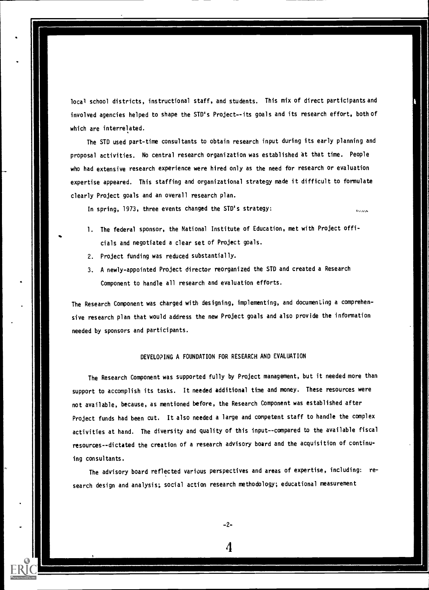local school districts, instructional staff, and students. This mix of direct participants and involved agencies helped to shape the STD's Project--its goals and its research effort, both of which are interrelated.

The STD used part-time consultants to obtain research input during its early planning and proposal activities. No central research organization was established at that time. People who had extensive research experience were hired only as the need for research or evaluation expertise appeared. This staffing and organizational strategy made it difficult to formulate clearly Project goals and an overall research plan.

In spring, 1973, three events changed the STD's strategy:  $\frac{m}{2}$ 

- 
- 1. The federal sponsor, the National Institute of Education, met with Project officials and negotiated a clear set of Project goals.
- 2. Project funding was reduced substantially.
- 3. A newly-appointed Project director reorganized the STD and created a Research Component to handle all research and evaluation efforts.

The Research Component was charged with designing, implementing, and documenting a comprehensive research plan that would address the new Project goals and also provide the information needed by sponsors and participants.

#### DEVELOPING A FOUNDATION FOR RESEARCH AND EVALUATION

The Research Component was supported fully by Project management, but it needed more than support to accomplish its tasks. It needed additional time and money. These resources were not available, because, as mentioned before, the Research Component was established after Project funds had been cut. It also needed a large and competent staff to handle the complex activities at hand. The diversity and quality of this input--compared to the available fiscal resources--dictated the creation of a research advisory board and the acquisition of continuing consultants.

The advisory board reflected various perspectives and areas of expertise, including: re search design and analysis; social action research methodology; educational measurement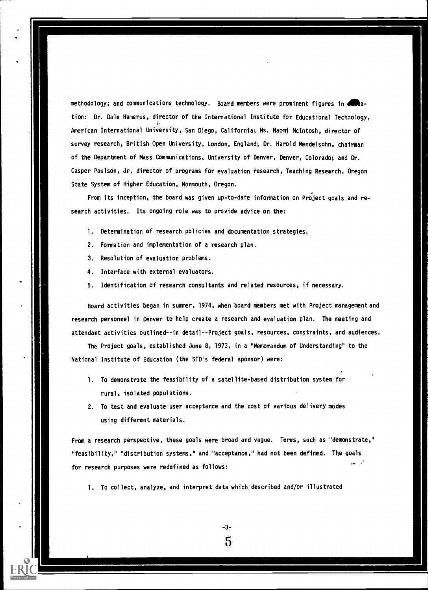methodology; and communications technology. Board members were prominent figures in  $\bullet$ tion: Dr. Dale Hamerus, director of the International Institute for Educational Technology, American International University, San Djego, California; Ms. Naomi McIntosh, director of survey research, British Open University, London, England; Dr. Harold Mendelsohn, chairman of the Department of Mass Communications, University of Denver, Denver, Colorado; and Dr. Casper Paulson, Jr, director of programs for evaluation research, Teaching Research, Oregon State System of Higher Education, Monmouth, Oregon.

From its inception, the board was given up-to-date information on Project goals and research activities. Its ongoing role was to provide advice on the:

- 1. Determination of research policies and documentation strategies.
- 2. Formation and implementation of a research plan.
- 3. Resolution of evaluation problems.
- 4. Interface with external evaluators.
- 5. Identification of research consultants and related resources, if necessary.

Board activities began in summer, 1974, when board members met with Project management and research personnel in Denver to help create a research and evaluation plan. The meeting and attendant activities outlined--in detail--Project goals, resources, constraints, and audiences.

The Project goals, established June 8, 1973, in a "Memorandum of Understanding" to the National Institute of Education (the STD's federal sponsor) were:

- 1. To demonstrate the feasibility of a satellite-based distribution system for rural, isolated populations.
- 2. To test and evaluate user acceptance and the cost of various delivery modes using different materials.

From a research perspective, these goals were broad and vague. Terms, such as "demonstrate," "feasibility," "distribution systems," and "acceptance," had not been defined. The goals for research purposes were redefined as follows:

1. To collect, analyze, and interpret data which described and/or illustrated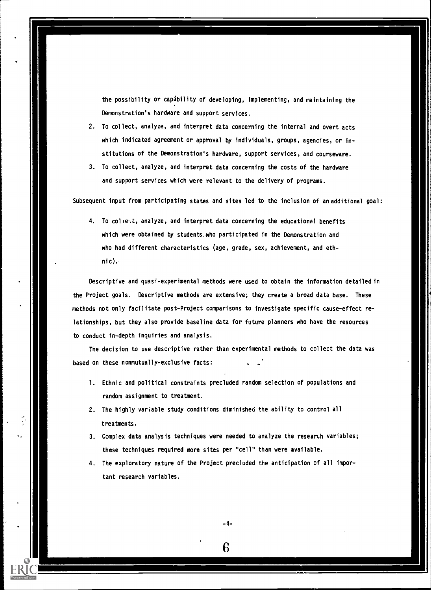the possibility or capability of developing, implementing, and maintaining the Demonstration's hardware and support services.

- 2. To collect, analyze, and interpret data concerning the internal and overt acts which indicated agreement or approval by individuals, groups, agencies, or institutions of the Demonstration's hardware, support services, and courseware.
- 3. To collect, analyze, and interpret data concerning the costs of the hardware and support services which were relevant to the delivery of programs.

Subsequent input from participating states and sites led to the inclusion of an additional goal:

4. To collet, analyze, and interpret data concerning the educational benefits which were obtained by students who participated in the Demonstration and who had different characteristics (age, grade, sex, achievement, and ethnic)..

Descriptive and quasi-experimental methods were used to obtain the information detailed in the Project goals. Descriptive methods are extensive; they create a broad data base. These methods not only facilitate post-Project comparisons to investigate specific cause-effect relationships, but they also provide baseline data for future planners who have the resources to conduct in-depth inquiries and analysis.

The decision to use descriptive rather than experimental methods to collect the data was based on these nonmutually-exclusive facts:

- 1. Ethnic and political constraints precluded random selection of populations and random assignment to treatment.
- 2. The highly variable study conditions diminished the ability to control all treatments.
- 3. Complex data analysis techniques were needed to analyze the research variables; these techniques required more sites per "cell" than were available.
- 4. The exploratory nature of the Project precluded the anticipation of all important research variables.

-4-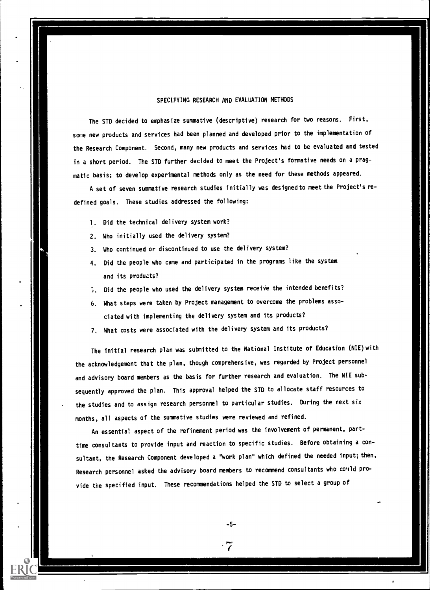#### SPECIFYING RESEARCH AND EVALUATION METHODS

The STD decided to emphasize summative (descriptive) research for two reasons. First, some new products and services had been planned and developed prior to the implementation of the Research Component. Second, many new products and services had to be evaluated and tested in a short period. The STD further decided to meet the Project's formative needs on a pragmatic basis; to develop experimental methods only as the need for these methods appeared.

A set of seven summative research studies initially was designed to meet the Project's redefined goals. These studies addressed the following:

- 1. Did the technical delivery system work?
- 2. Who initially used the delivery system?
- 3. Who continued or discontinued to use the delivery system?
- 4. Did the people who came and participated in the programs like the system and its products?
- ;. Did the people who used the delivery system receive the intended benefits?
- 6. What steps were taken by Project management to overcome the problems associated with implementing the delivery system and its products?
- 7. What costs were associated with the delivery system and its products?

The initial research plan was submitted to the National Institute of Education (NIE) with the acknowledgement that the plan, though comprehensive, was regarded by Project personnel and advisory board members as the basis for further research and evaluation. The NIE subsequently approved the plan. This approval helped the STD to allocate staff resources to the studies and to assign research personnel to particular studies. During the next six months, all aspects of the summative studies were reviewed and refined.

An essential aspect of the refinement period was the involvement of permanent, parttime consultants to provide input and reaction to specific studies. Before obtaining a consultant, the Research Component developed a "work plan" which defined the needed input; then, Research personnel asked the advisory board members to recommend consultants who co'ild provide the specified input. These recommendations helped the STD to select a group of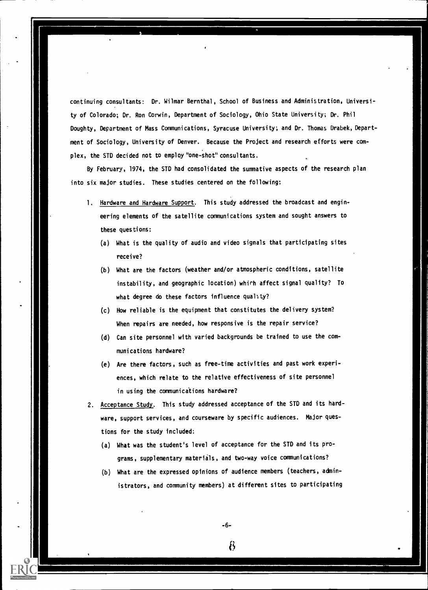continuing consultants: Dr. Wilmar Bernthal, School of Business and Administration, University of Colorado; Dr. Ron Corwin, Department of Sociology, Ohio State University; Dr. Phil Doughty, Department of Mass Communications, Syracuse University; and Dr. Thomas Drabek, Department of Sociology, University of Denver. Because the Project and research efforts were complex, the STD decided not to employ "one -shot" consultants.

By February, 1974, the STD had consolidated the summative aspects of the research plan into six major studies. These studies centered on the following:

- 1. Hardware and Hardware Support. This study addressed the broadcast and engineering elements of the satellite communications system and sought answers to these questions:
	- (a) What is the quality of audio and video signals that participating sites receive?
	- (b) What are the factors (weather and/or atmospheric conditions, satellite instability, and geographic location) which affect signal quality? To what degree do these factors influence quality?
	- (c) How reliable is the equipment that constitutes the delivery system? When repairs are needed, how responsive is the repair service?
	- (d) Can site personnel with varied backgrounds be trained to use the communications hardware?
	- (e) Are there factors, such as free-time activities and past work experiences, which relate to the relative effectiveness of site personnel in using the communications hardware?
- 2. Acceptance Study. This study addressed acceptance of the STD and its hardware, support services, and courseware by specific audiences. Major questions for the study included:
	- (a) What was the student's level of acceptance for the STD and its programs, supplementary materials, and two-way voice communications?
	- (b) What are the expressed opinions of audience members (teachers, administrators, and community members) at different sites to participating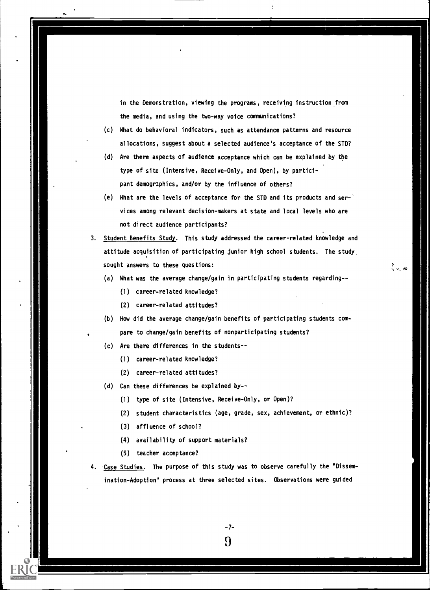in the Demonstration, viewing the programs, receiving instruction from the media, and using the two-way voice communications?

- (c) What do behavioral indicators, such as attendance patterns and resource allocations, suggest about a selected audience's acceptance of the STD?
- (d) Are there aspects of audience acceptance which can be explained by the type of site (Intensive, Receive -Only, and Open), by participant demographics, and/or by the influence of others?
- (e) What are the levels of acceptance for the STD and its products and services among relevant decision-makers at state and local levels who are not direct audience participants?
- 3. Student Benefits Study. This study addressed the career-related knowledge and attitude acquisition of participating junior high school students. The study sought answers to these questions:  $\zeta_{\text{w}}$  with  $\zeta_{\text{w}}$  with  $\zeta_{\text{w}}$  with  $\zeta_{\text{w}}$  with  $\zeta_{\text{w}}$  with  $\zeta_{\text{w}}$  with  $\zeta$ 
	- (a) What was the average change/gain in participating students regarding-
		- (1) career-related knowledge?
		- (2) career-related attitudes?
	- (b) How did the average change/gain benefits of participating students compare to change/gain benefits of nonparticipating students?
	- (c) Are there differences in the students-
		- (1) career-related knowledge?
		- (2) career-related attitudes?
	- (d) Can these differences be explained by--
		- (1) type of site (Intensive, Receive-Only, or Open)?
		- (2) student characteristics (age, grade, sex, achievement, or ethnic)?
		- (3) affluence of school?
		- (4) availability of support materials?
		- (5) teacher acceptance?
- 4. Case Studies. The purpose of this study was to observe carefully the "Dissemination-Adoption" process at three selected sites. Observations were guided

-7- <u>ባ</u>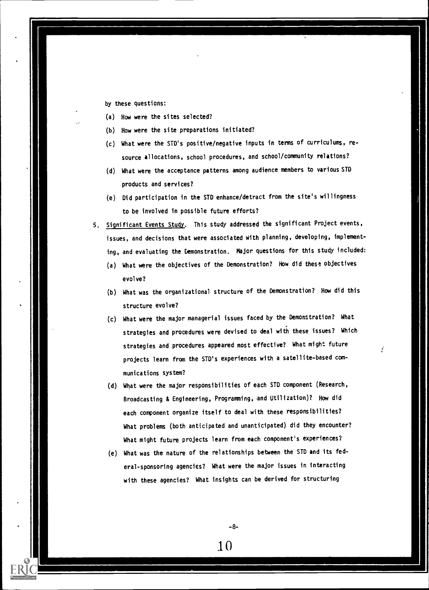by these questions:

- (a) How were the sites selected?
- (b) How were the site preparations initiated?
- (c) What were the STD's positive/negative inputs in terms of curriculums, resource allocations, school procedures, and school/community relations?
- (d) What were the acceptance patterns among audience members to various STD products and services?
- (e) Did participation in the STD enhance/detract from the site's willingness to be involved in possible future efforts?
- 5. Significant Events Study. This study addressed the significant Project events, issues, and decisions that were associated With planning, developing, implementing, and evaluating the Demonstration. Major questions for this study included:
	- (a) What were the objectives of the Demonstration? How did these objectives evolve?
	- (b) What was the organizational structure of the Demonstration? How did this structure evolve?
	- (c) What were the major managerial issues faced by the Demonstration? What strategies and procedures were devised to deal with these issues? Which strategies and procedures appeared most effective? What might future projects learn from the STD's experiences with a satellite-based communications system?
	- (d) What were the major responsibilities of each STD component (Research, Broadcasting & Engineering, Programming, and Utilization)? How did each component organize itself to deal with these responsibilities? What problems (both anticipated and unanticipated) did they encounter? What might future projects learn from each component's experiences?
	- (e) What was the nature of the relationships between the STD and its federal-sponsoring agencies? What were the major issues in interacting with these agencies? What insights can be derived for structuring

-8-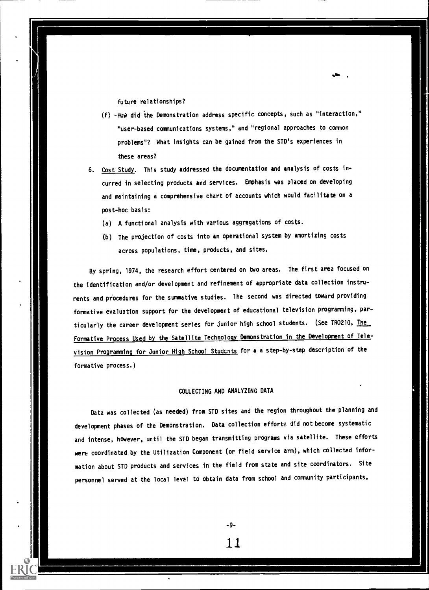future relationships?

- (f) -HOW did the Demonstration address specific concepts, such as "interaction," "user-based communications systems," and "regional approaches to common problems"? What insights can be gained from the STD's experiences in these areas?
- 6. Cost Study. This study addressed the documentation and analysis of costs incurred in selecting products and services. Emphasis was placed on developing and maintaining a comprehensive chart of accounts which would facilitate on a post-hoc basis:
	- (a) A functional analysis with various aggregations of costs.
	- (b) The projection of costs into an operational system by amortizing costs across populations, time, products, and sites.

By spring, 1974, the research effort centered on two areas. The first area focused on the identification and/or development and refinement of appropriate data collection instruments and procedures for the summative studies. the second was directed toward providing formative evaluation support for the development of educational television programming, particularly the career development series for junior high school students. (See TR0210, The Formative Process Used by the Satellite Technology Demonstration in the Development of Television Programming for Junior High School Students for a a step-by-step description of the formative process.)

#### COLLECTING AND ANALYZING DATA

Data was collected (as needed) from STD sites and the region throughout the planning and development phases of the Demonstration. Data collection efforts lid not become systematic and intense, however, until the STD began transmitting programs via satellite. These efforts were coordinated by the Utilization Component (or field service arm), which collected information about STD products and services in the field from state and site coordinators. Site personnel served at the local level to obtain data from school and community participants,

-9-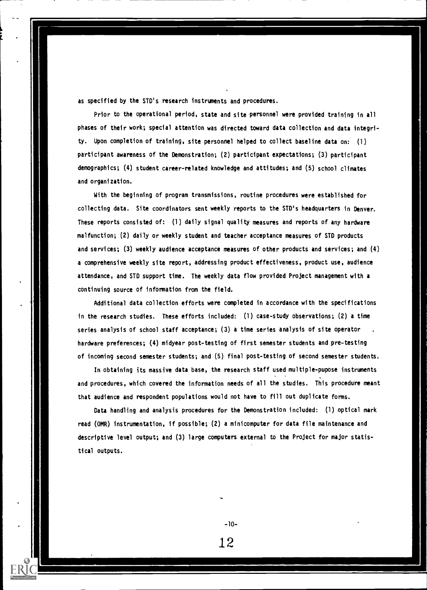as specified by the STD's research instruments and procedures.

Prior to the operational period, state and site personnel were provided training in all phases of their work; special attention was directed toward data collection and data integrity. Upon completion of training, site personnel helped to collect baseline data on: (1) participant awareness of the Demonstration; (2) participant expectations; (3) participant demographics; (4) student career-related knowledge and attitudes; and (5) school climates and organization.

With the beginning of program transmissions, routine procedures were established for collecting data. Site coordinators sent weekly reports to the STD's headquarters in Denver. These reports consisted of: (1) daily signal quality measures and reports of any hardware malfunction; (2) daily or weekly student and teacher acceptance measures of STD products and services; (3) weekly audience acceptance measures of other products and services; and (4) a comprehensive weekly site report, addressing product effectiveness, product use, audience attendance, and STD support time. The weekly data flow provided Project management with a continuing source of information from the field.

Additional data collection efforts were completed in accordance with the specifications in the research studies. These efforts included: (1) case-study observations; (2) a time series analysis of school staff acceptance; (3) a time series analysis of site operator hardware preferences; (4) midyear post-testing of first semester students and pre-testing of incoming second semester students; and (5) final post-testing of second semester students.

In obtaining its massive data base, the research staff used multiple-pupose instruments and procedures, which covered the information needs of all the studies. This procedure meant that audience and respondent populations would not have to fill out duplicate forms.

Data handling and analysis procedures for the Demonstration included: (1) optical mark read (OMR) instrumentation, if possible; (2) a minicomputer for data file maintenance and descriptive level output; and (3) large computers external to the Project for major statistical outputs.

-10-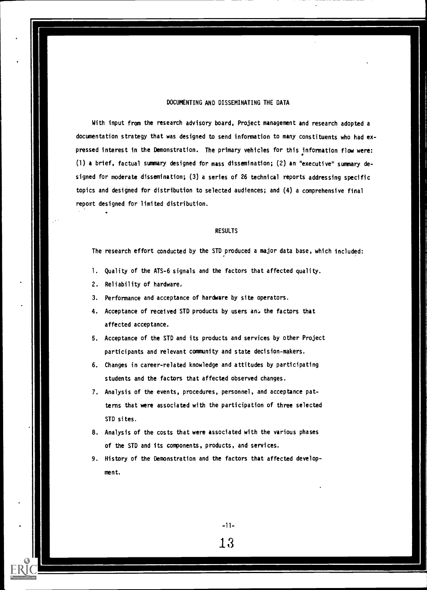#### DOCUMENTING AND DISSEMINATING THE DATA

With input from the research advisory board, Project management and research adopted a documentation strategy that was designed to send information to many constituents who had expressed interest in the Demonstration. The primary vehicles for this information flow were: (1) a brief, factual summary designed for mass dissemination; (2) an "executive" summary designed for moderate dissemination; (3) a series of 26 technical reports addressing specific topics and designed for distribution to selected audiences; and (4) a comprehensive final report designed for limited distribution.

#### RESULTS

The research effort conducted by the STD produced a major data base, which included:

- 1. Quality of the ATS-6 signals and the factors that affected quality.
- 2. Reliability of hardware.
- 3. Performance and acceptance of hardware by site operators.
- 4. Acceptance of received STD products by users and the factors that affected acceptance.
- 5. Acceptance of the STD and its products and services by other Project participants and relevant community and state decision-makers.
- 6. Changes in career-related knowledge and attitudes by participating students and the factors that affected observed changes.
- 7. Analysis of the events, procedures, personnel, and acceptance patterns that were associated with the participation of three selected STD sites.
- 8. Analysis of the costs that were associated with the various phases of the STD and its components, products, and services.
- 9. History of the Demonstration and the factors that affected development.

 $-11-$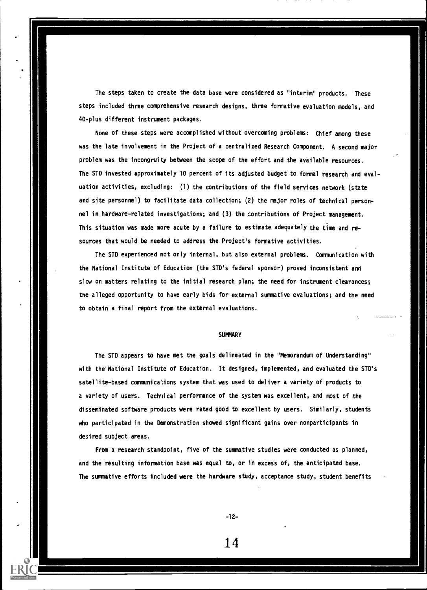The steps taken to create the data base were considered as "interim" products. These steps included three comprehensive research designs, three formative evaluation models, and 40-plus different instrument packages.

None of these steps were accomplished without overcoming problems: Chief among these was the late involvement in the Project of a centralized Research Component. A second major problem was the incongruity between the scope of the effort and the available resources. The STD invested approximately 10 percent of its adjusted budget to formal research and evaluation activities, excluding: (1) the contributions of the field services network (state and site personnel) to facilitate data collection; (2) the major roles of technical personnel in hardware-related investigations; and (3) the Lontributions of Project management. This situation was made more acute by a failure to estimate adequately the time and resources that would be needed to address the Project's formative activities.

The STD experienced not only internal, but also external problems. Communication with the National Institute of Education (the STD's federal sponsor) proved inconsistent and slow on matters relating to the initial research plan; the need for instrument clearances; the alleged opportunity to have early bids for external summative evaluations; and the need to obtain a final report from the external evaluations.

#### **SUMMARY**

The STD appears to have met the goals delineated in the "Memorandum of Understanding" with the'National Institute of Education. It designed, implemented, and evaluated the STD's satellite-based communications system that was used to deliver a variety of products to a variety of users. Techical performance of the system was excellent, and most of the disseminated software products were rated good to excellent by users. Similarly, students who participated in the Demonstration showed significant gains over nonparticipants in desired subject areas.

From a research standpoint, five of the summative studies were conducted as planned, and the resulting information base was equal to, or in excess of, the anticipated base. The summative efforts included were the hardware study, acceptance study, student benefits

-12-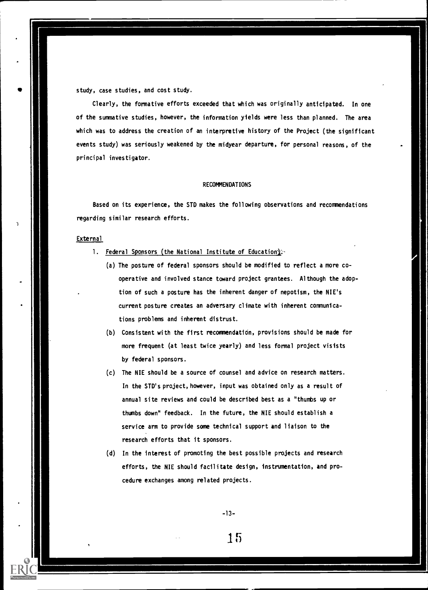study, case studies, and cost study.

Clearly, the formative efforts exceeded that which was originally anticipated. In one of the summative studies, however, the information yields were less than planned. The area which was to address the creation of an interpretive history of the Project (the significant events study) was seriously weakened by the midyear departure, for personal reasons, of the principal investigator.

#### RECOMMENDATIONS

Based on its experience, the STD makes the following observations and recommendations regarding similar research efforts.

#### **External**

- 1. Federal Sponsors (the National Institute of Education).
	- (a) The posture of federal sponsors should be modified to reflect a more cooperative and involved stance toward project grantees. Although the adoption of such a posture has the inherent danger of nepotism, the NIE's current posture creates an adversary climate with inherent communications problems and inherent distrust.
	- (b) Consistent with the first recommendatidn, provisions should be made for more frequent (at least twice yearly) and less formal project visists by federal sponsors.
	- (c) The NIE should be a source of counsel and advice on research matters. In the STD's project, however, input was obtained only as a result of annual site reviews and could be described best as a "thumbs up or thumbs down" feedback. In the future, the NIE should establish a service arm to provide some technical support and liaison to the research efforts that it sponsors.
	- (d) In the interest of promoting the best possible projects and research efforts, the NIE should facilitate design, instrumentation, and procedure exchanges among related projects.

-13-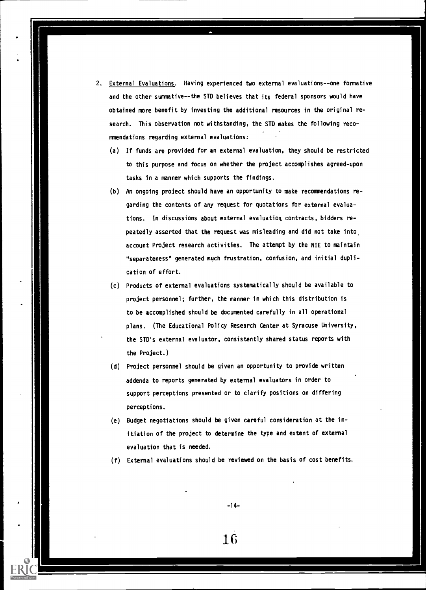- 2. External Evaluations. Having experienced two external evaluations--one formative and the other summative--the STD believes that its federal sponsors would have obtained more benefit by investing the additional resources in the original research. This observation not withstanding, the STD makes the following recommendations regarding external evaluations:
	- (a) If funds are provided for an external evaluation, they should be restricted to this purpose and focus on whether the project accomplishes agreed-upon tasks in a manner which supports the findings.
	- (b) An ongoing project should have an opportunity to make recommendations regarding the contents of any request for quotations for external evaluations. In discussions about external evaluation contracts, bidders repeatedly asserted that the request was misleading and did not take into account Project research activities. The attempt by the NIE to maintain "separateness" generated much frustration, confusion, and initial duplication of effort.
	- (c) Products of external evaluations systematically should be available to project personnel; further, the manner in which this distribution is to be accomplished should be documented carefully in all operational plans. (The Educational Policy Research Center at Syracuse University, the STD's external evaluator, consistently shared status reports with the Project.)
	- (d) Project personnel should be given an opportunity to provide written addenda to reports generated by external evaluators in order to support perceptions presented or to clarify positions on differing perceptions.
	- (e) Budget negotiations should be given careful consideration at the initiation of the project to determine the type and extent of external evaluation that is needed.
	- (f) External evaluations should be reviewed on the basis of cost benefits.

-14-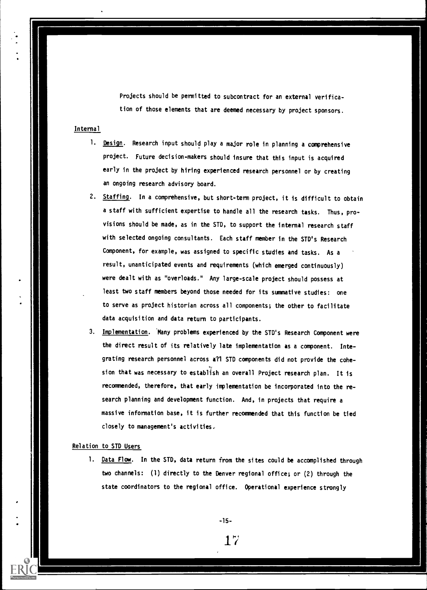Projects should be permitted to subcontract for an external verification of those elements that are deemed necessary by project sponsors.

#### Internal

- 1. Design. Research input should play a major role in planning a comprehensive project. Future decision-makers should insure that this input is acquired early in the project by hiring experienced research personnel or by creating an ongoing research advisory board.
- 2. Staffing. In a comprehensive, but short-term project, it is difficult to obtain a staff with sufficient expertise to handle all the research tasks. Thus, provisions should be made, as in the STD, to support the internal research staff with selected ongoing consultants. Each staff member in the STD's Research Component, for example, was assigned to specific studies and tasks. As a result, unanticipated events and requirements (which emerged continuously) were dealt with as "overloads." Any large-scale project should possess at least two staff members beyond those needed for its summative studies: one to serve as project historian across all components; the other to facilitate data acquisition and data return to participants.
- 3. Implementation. Many problems experienced by the STD's Research Component were the direct result of its relatively late implementation as a component. Inte grating research personnel across all STD components did not provide the cohesion that was necessary to establish an overall Project research plan. It is recommended, therefore, that early implementation be incorporated into the research planning and development function. And, in projects that require a massive information base, it is further recommended that this function be tied closely to management's activities.

#### Relation to STD Users

1. Data Flow. In the STD, data return from the sites could be accomplished through two channels: (1) directly to the Denver regional office; or (2) through the state coordinators to the regional office. Operational experience strongly

-15-

1.7